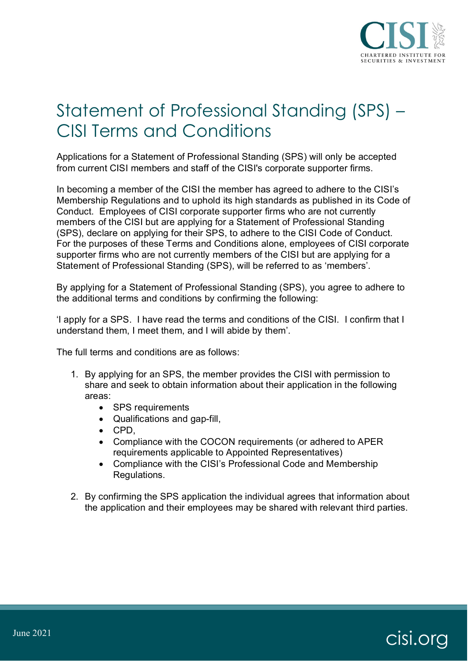

## Statement of Professional Standing (SPS) – CISI Terms and Conditions

Applications for a Statement of Professional Standing (SPS) will only be accepted from current CISI members and staff of the CISI's corporate supporter firms.

In becoming a member of the CISI the member has agreed to adhere to the CISI's Membership Regulations and to uphold its high standards as published in its Code of Conduct. Employees of CISI corporate supporter firms who are not currently members of the CISI but are applying for a Statement of Professional Standing (SPS), declare on applying for their SPS, to adhere to the CISI Code of Conduct. For the purposes of these Terms and Conditions alone, employees of CISI corporate supporter firms who are not currently members of the CISI but are applying for a Statement of Professional Standing (SPS), will be referred to as 'members'.

By applying for a Statement of Professional Standing (SPS), you agree to adhere to the additional terms and conditions by confirming the following:

'I apply for a SPS. I have read the terms and conditions of the CISI. I confirm that I understand them, I meet them, and I will abide by them'.

The full terms and conditions are as follows:

- 1. By applying for an SPS, the member provides the CISI with permission to share and seek to obtain information about their application in the following areas:
	- SPS requirements
	- Qualifications and gap-fill,
	- CPD,
	- Compliance with the COCON requirements (or adhered to APER requirements applicable to Appointed Representatives)
	- Compliance with the CISI's Professional Code and Membership Regulations.
- 2. By confirming the SPS application the individual agrees that information about the application and their employees may be shared with relevant third parties.

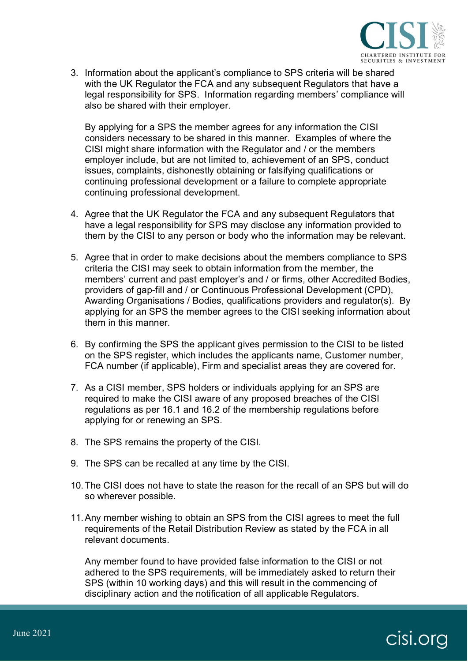

3. Information about the applicant's compliance to SPS criteria will be shared with the UK Regulator the FCA and any subsequent Regulators that have a legal responsibility for SPS. Information regarding members' compliance will also be shared with their employer.

By applying for a SPS the member agrees for any information the CISI considers necessary to be shared in this manner. Examples of where the CISI might share information with the Regulator and / or the members employer include, but are not limited to, achievement of an SPS, conduct issues, complaints, dishonestly obtaining or falsifying qualifications or continuing professional development or a failure to complete appropriate continuing professional development.

- 4. Agree that the UK Regulator the FCA and any subsequent Regulators that have a legal responsibility for SPS may disclose any information provided to them by the CISI to any person or body who the information may be relevant.
- 5. Agree that in order to make decisions about the members compliance to SPS criteria the CISI may seek to obtain information from the member, the members' current and past employer's and / or firms, other Accredited Bodies, providers of gap-fill and / or Continuous Professional Development (CPD), Awarding Organisations / Bodies, qualifications providers and regulator(s). By applying for an SPS the member agrees to the CISI seeking information about them in this manner.
- 6. By confirming the SPS the applicant gives permission to the CISI to be listed on the SPS register, which includes the applicants name, Customer number, FCA number (if applicable), Firm and specialist areas they are covered for.
- 7. As a CISI member, SPS holders or individuals applying for an SPS are required to make the CISI aware of any proposed breaches of the CISI regulations as per 16.1 and 16.2 of the membership regulations before applying for or renewing an SPS.
- 8. The SPS remains the property of the CISI.
- 9. The SPS can be recalled at any time by the CISI.
- 10.The CISI does not have to state the reason for the recall of an SPS but will do so wherever possible.
- 11.Any member wishing to obtain an SPS from the CISI agrees to meet the full requirements of the Retail Distribution Review as stated by the FCA in all relevant documents.

Any member found to have provided false information to the CISI or not adhered to the SPS requirements, will be immediately asked to return their SPS (within 10 working days) and this will result in the commencing of disciplinary action and the notification of all applicable Regulators.

## June 2021 Cisi.org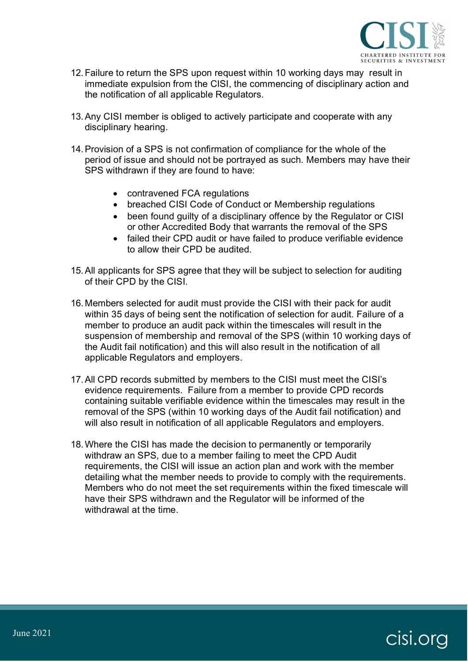

- 12.Failure to return the SPS upon request within 10 working days may result in immediate expulsion from the CISI, the commencing of disciplinary action and the notification of all applicable Regulators.
- 13.Any CISI member is obliged to actively participate and cooperate with any disciplinary hearing.
- 14.Provision of a SPS is not confirmation of compliance for the whole of the period of issue and should not be portrayed as such. Members may have their SPS withdrawn if they are found to have:
	- contravened FCA regulations
	- breached CISI Code of Conduct or Membership regulations
	- been found quilty of a disciplinary offence by the Regulator or CISI or other Accredited Body that warrants the removal of the SPS
	- failed their CPD audit or have failed to produce verifiable evidence to allow their CPD be audited.
- 15.All applicants for SPS agree that they will be subject to selection for auditing of their CPD by the CISI.
- 16. Members selected for audit must provide the CISI with their pack for audit within 35 days of being sent the notification of selection for audit. Failure of a member to produce an audit pack within the timescales will result in the suspension of membership and removal of the SPS (within 10 working days of the Audit fail notification) and this will also result in the notification of all applicable Regulators and employers.
- 17.All CPD records submitted by members to the CISI must meet the CISI's evidence requirements. Failure from a member to provide CPD records containing suitable verifiable evidence within the timescales may result in the removal of the SPS (within 10 working days of the Audit fail notification) and will also result in notification of all applicable Regulators and employers.
- 18.Where the CISI has made the decision to permanently or temporarily withdraw an SPS, due to a member failing to meet the CPD Audit requirements, the CISI will issue an action plan and work with the member detailing what the member needs to provide to comply with the requirements. Members who do not meet the set requirements within the fixed timescale will have their SPS withdrawn and the Regulator will be informed of the withdrawal at the time.

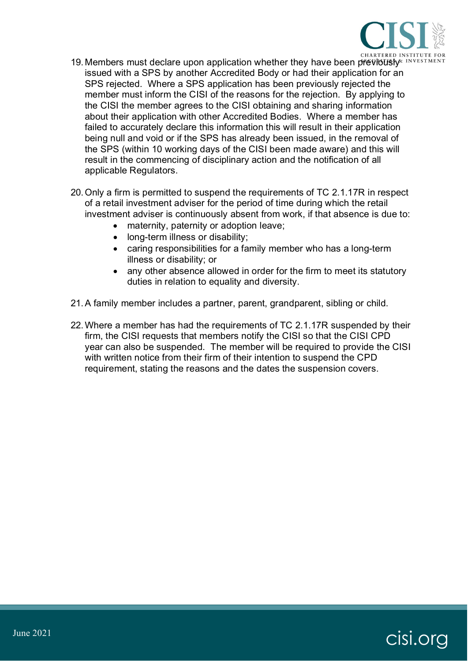

- 19. Members must declare upon application whether they have been previously<sup>x INVESTI</sup> issued with a SPS by another Accredited Body or had their application for an SPS rejected. Where a SPS application has been previously rejected the member must inform the CISI of the reasons for the rejection. By applying to the CISI the member agrees to the CISI obtaining and sharing information about their application with other Accredited Bodies. Where a member has failed to accurately declare this information this will result in their application being null and void or if the SPS has already been issued, in the removal of the SPS (within 10 working days of the CISI been made aware) and this will result in the commencing of disciplinary action and the notification of all applicable Regulators.
- 20.Only a firm is permitted to suspend the requirements of TC 2.1.17R in respect of a retail investment adviser for the period of time during which the retail investment adviser is continuously absent from work, if that absence is due to:
	- maternity, paternity or adoption leave;
	- long-term illness or disability;
	- caring responsibilities for a family member who has a long-term illness or disability; or
	- any other absence allowed in order for the firm to meet its statutory duties in relation to equality and diversity.
- 21.A family member includes a partner, parent, grandparent, sibling or child.
- 22.Where a member has had the requirements of TC 2.1.17R suspended by their firm, the CISI requests that members notify the CISI so that the CISI CPD year can also be suspended. The member will be required to provide the CISI with written notice from their firm of their intention to suspend the CPD requirement, stating the reasons and the dates the suspension covers.